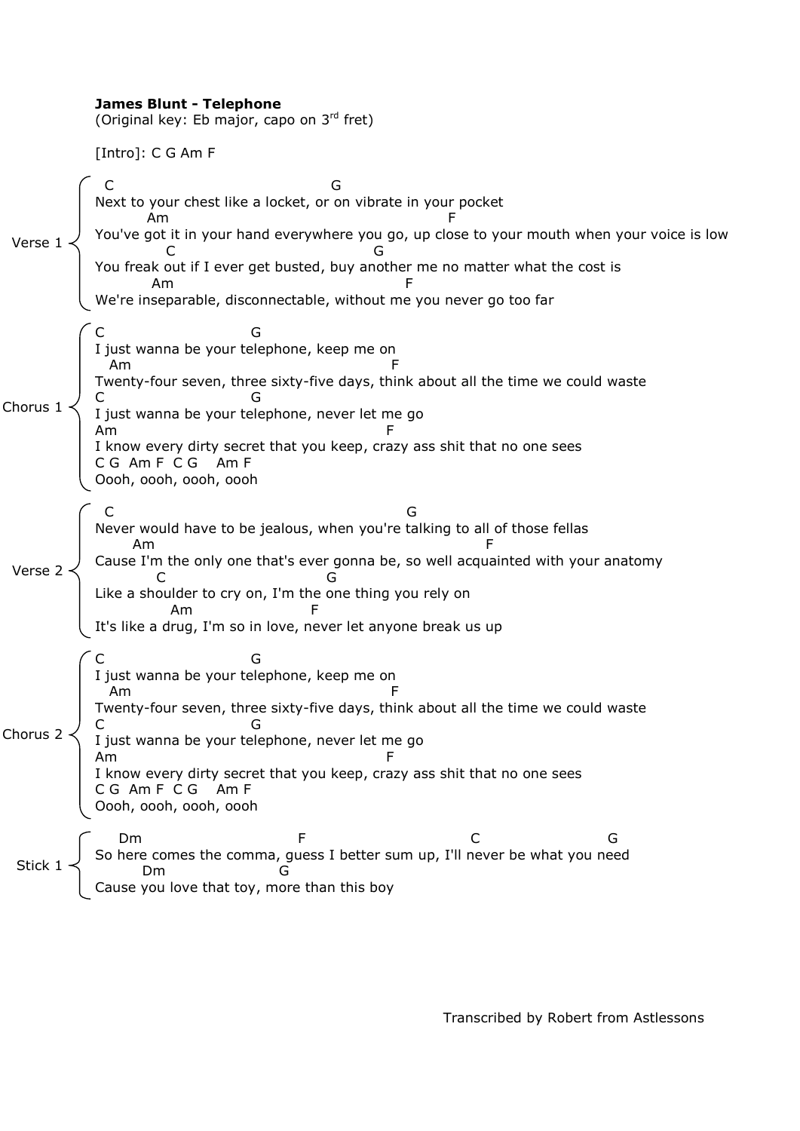|                | <b>James Blunt - Telephone</b><br>(Original key: Eb major, capo on 3rd fret)                                                                                                                                                                                                                                                          |  |  |
|----------------|---------------------------------------------------------------------------------------------------------------------------------------------------------------------------------------------------------------------------------------------------------------------------------------------------------------------------------------|--|--|
|                | [Intro]: C G Am F                                                                                                                                                                                                                                                                                                                     |  |  |
| Verse:         | C<br>Next to your chest like a locket, or on vibrate in your pocket<br>Am<br>You've got it in your hand everywhere you go, up close to your mouth when your voice is low<br>You freak out if I ever get busted, buy another me no matter what the cost is<br>Am<br>We're inseparable, disconnectable, without me you never go too far |  |  |
| Chorus         | I just wanna be your telephone, keep me on<br>Am<br>Twenty-four seven, three sixty-five days, think about all the time we could waste<br>G<br>I just wanna be your telephone, never let me go<br>Am<br>I know every dirty secret that you keep, crazy ass shit that no one sees<br>CG Am F CG<br>Am F<br>Oooh, oooh, oooh, oooh       |  |  |
| Verse 2        | Never would have to be jealous, when you're talking to all of those fellas<br>Am<br>Cause I'm the only one that's ever gonna be, so well acquainted with your anatomy<br>C<br>G<br>Like a shoulder to cry on, I'm the one thing you rely on<br>F<br>Am<br>It's like a drug, I'm so in love, never let anyone break us up              |  |  |
| Chorus $2 -$   | G<br>I just wanna be your telephone, keep me on<br>Am<br>Twenty-four seven, three sixty-five days, think about all the time we could waste<br>) C<br>\ I just wanna be your telephone, never let me go<br>I know every dirty secret that you keep, crazy ass shit that no one sees<br>C G Am F C G Am F<br>Oooh, oooh, oooh, oooh     |  |  |
| Stick 1 $\sim$ | Dm<br>F<br>So here comes the comma, guess I better sum up, I'll never be what you need<br>$\log$<br>Cause you love that toy, more than this boy                                                                                                                                                                                       |  |  |